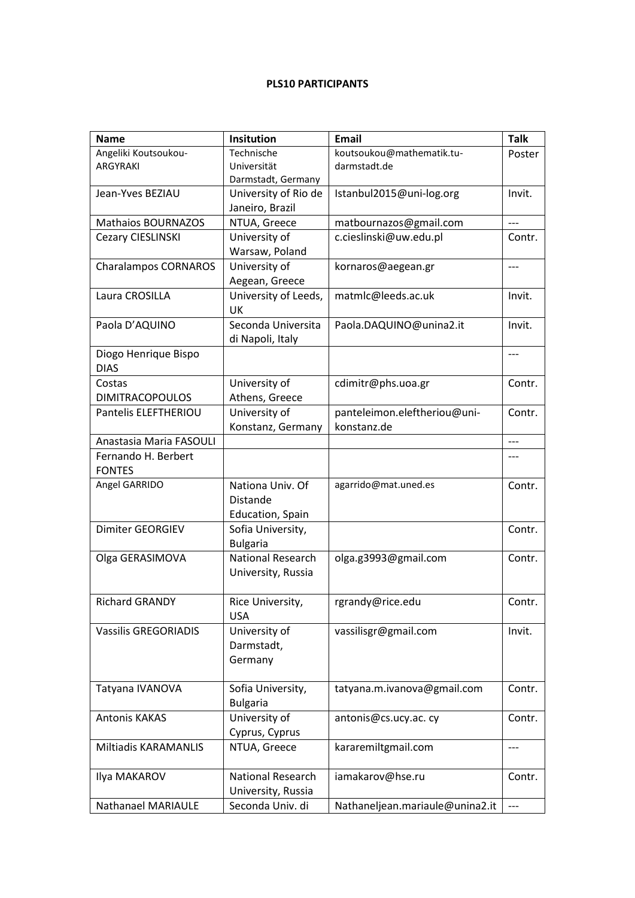## **PLS10 PARTICIPANTS**

| <b>Name</b>                 | <b>Insitution</b>        | <b>Email</b>                    | <b>Talk</b> |
|-----------------------------|--------------------------|---------------------------------|-------------|
| Angeliki Koutsoukou-        | Technische               | koutsoukou@mathematik.tu-       | Poster      |
| <b>ARGYRAKI</b>             | Universität              | darmstadt.de                    |             |
|                             | Darmstadt, Germany       |                                 |             |
| Jean-Yves BEZIAU            | University of Rio de     | Istanbul2015@uni-log.org        | Invit.      |
|                             | Janeiro, Brazil          |                                 |             |
| <b>Mathaios BOURNAZOS</b>   | NTUA, Greece             | matbournazos@gmail.com          | $---$       |
| <b>Cezary CIESLINSKI</b>    | University of            | c.cieslinski@uw.edu.pl          | Contr.      |
|                             | Warsaw, Poland           |                                 |             |
| <b>Charalampos CORNAROS</b> | University of            | kornaros@aegean.gr              | ---         |
|                             | Aegean, Greece           |                                 |             |
| Laura CROSILLA              | University of Leeds,     | matmlc@leeds.ac.uk              | Invit.      |
|                             | UK                       |                                 |             |
| Paola D'AQUINO              | Seconda Universita       | Paola.DAQUINO@unina2.it         | Invit.      |
|                             | di Napoli, Italy         |                                 |             |
| Diogo Henrique Bispo        |                          |                                 | $---$       |
| <b>DIAS</b>                 |                          |                                 |             |
| Costas                      | University of            | cdimitr@phs.uoa.gr              | Contr.      |
| <b>DIMITRACOPOULOS</b>      | Athens, Greece           |                                 |             |
| Pantelis ELEFTHERIOU        | University of            | panteleimon.eleftheriou@uni-    | Contr.      |
|                             | Konstanz, Germany        | konstanz.de                     |             |
| Anastasia Maria FASOULI     |                          |                                 | $---$       |
| Fernando H. Berbert         |                          |                                 | ---         |
| <b>FONTES</b>               |                          |                                 |             |
| Angel GARRIDO               | Nationa Univ. Of         | agarrido@mat.uned.es            | Contr.      |
|                             | Distande                 |                                 |             |
|                             | <b>Education, Spain</b>  |                                 |             |
| Dimiter GEORGIEV            | Sofia University,        |                                 | Contr.      |
|                             | <b>Bulgaria</b>          |                                 |             |
| Olga GERASIMOVA             | <b>National Research</b> | olga.g3993@gmail.com            | Contr.      |
|                             | University, Russia       |                                 |             |
|                             |                          |                                 |             |
| <b>Richard GRANDY</b>       | Rice University,         | rgrandy@rice.edu                | Contr.      |
|                             | <b>USA</b>               |                                 |             |
| <b>Vassilis GREGORIADIS</b> | University of            | vassilisgr@gmail.com            | Invit.      |
|                             | Darmstadt,               |                                 |             |
|                             | Germany                  |                                 |             |
|                             |                          |                                 |             |
| Tatyana IVANOVA             | Sofia University,        | tatyana.m.ivanova@gmail.com     | Contr.      |
|                             | <b>Bulgaria</b>          |                                 |             |
| <b>Antonis KAKAS</b>        | University of            | antonis@cs.ucy.ac.cy            | Contr.      |
|                             | Cyprus, Cyprus           |                                 |             |
| Miltiadis KARAMANLIS        | NTUA, Greece             | kararemiltgmail.com             | ---         |
|                             |                          |                                 |             |
| Ilya MAKAROV                | National Research        | iamakarov@hse.ru                | Contr.      |
|                             | University, Russia       |                                 |             |
| Nathanael MARIAULE          | Seconda Univ. di         | Nathaneljean.mariaule@unina2.it | $---$       |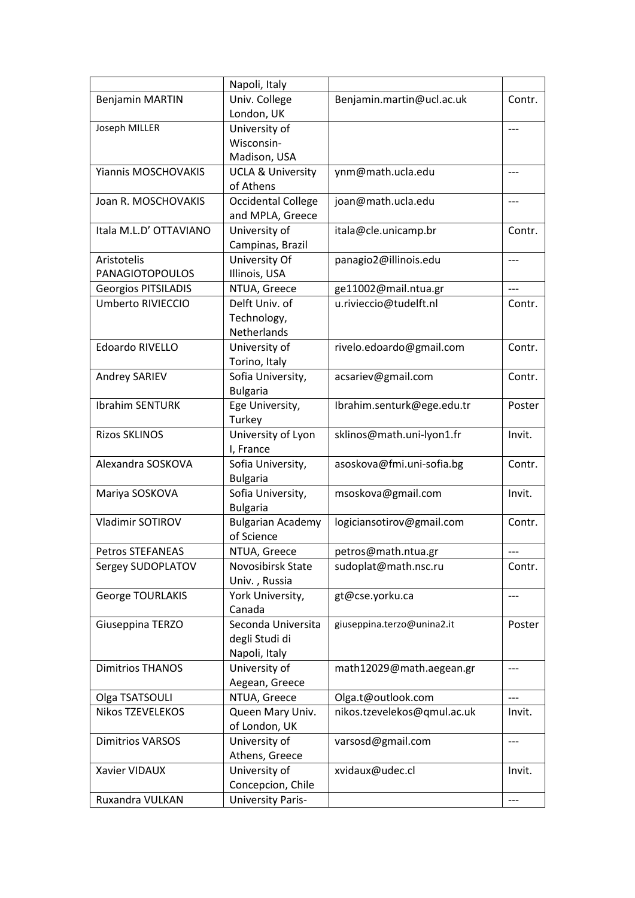|                            | Napoli, Italy                        |                             |        |
|----------------------------|--------------------------------------|-----------------------------|--------|
| <b>Benjamin MARTIN</b>     | Univ. College                        | Benjamin.martin@ucl.ac.uk   | Contr. |
|                            | London, UK                           |                             |        |
| Joseph MILLER              | University of                        |                             | ---    |
|                            | Wisconsin-                           |                             |        |
|                            | Madison, USA                         |                             |        |
| Yiannis MOSCHOVAKIS        | <b>UCLA &amp; University</b>         | ynm@math.ucla.edu           | ---    |
|                            | of Athens                            |                             |        |
| Joan R. MOSCHOVAKIS        | <b>Occidental College</b>            | joan@math.ucla.edu          | $---$  |
|                            | and MPLA, Greece                     |                             |        |
| Itala M.L.D' OTTAVIANO     | University of                        | itala@cle.unicamp.br        | Contr. |
|                            | Campinas, Brazil                     |                             |        |
| Aristotelis                | University Of                        | panagio2@illinois.edu       | $---$  |
| <b>PANAGIOTOPOULOS</b>     | Illinois, USA                        |                             |        |
| <b>Georgios PITSILADIS</b> | NTUA, Greece                         | ge11002@mail.ntua.gr        | $---$  |
| Umberto RIVIECCIO          | Delft Univ. of                       | u.rivieccio@tudelft.nl      | Contr. |
|                            | Technology,                          |                             |        |
|                            | Netherlands                          |                             |        |
| Edoardo RIVELLO            | University of                        | rivelo.edoardo@gmail.com    | Contr. |
|                            | Torino, Italy                        |                             |        |
| Andrey SARIEV              | Sofia University,                    | acsariev@gmail.com          | Contr. |
|                            | <b>Bulgaria</b>                      |                             |        |
| <b>Ibrahim SENTURK</b>     | Ege University,                      | Ibrahim.senturk@ege.edu.tr  | Poster |
|                            | Turkey                               |                             |        |
| <b>Rizos SKLINOS</b>       | University of Lyon                   | sklinos@math.uni-lyon1.fr   | Invit. |
| Alexandra SOSKOVA          | I, France                            |                             |        |
|                            | Sofia University,<br><b>Bulgaria</b> | asoskova@fmi.uni-sofia.bg   | Contr. |
| Mariya SOSKOVA             | Sofia University,                    | msoskova@gmail.com          | Invit. |
|                            | <b>Bulgaria</b>                      |                             |        |
| Vladimir SOTIROV           | <b>Bulgarian Academy</b>             | logiciansotirov@gmail.com   | Contr. |
|                            | of Science                           |                             |        |
| <b>Petros STEFANEAS</b>    | NTUA, Greece                         | petros@math.ntua.gr         | ---    |
| Sergey SUDOPLATOV          | Novosibirsk State                    | sudoplat@math.nsc.ru        | Contr. |
|                            | Univ., Russia                        |                             |        |
| <b>George TOURLAKIS</b>    | York University,                     | gt@cse.yorku.ca             | ---    |
|                            | Canada                               |                             |        |
| Giuseppina TERZO           | Seconda Universita                   | giuseppina.terzo@unina2.it  | Poster |
|                            | degli Studi di                       |                             |        |
|                            | Napoli, Italy                        |                             |        |
| <b>Dimitrios THANOS</b>    | University of                        | math12029@math.aegean.gr    | ---    |
|                            | Aegean, Greece                       |                             |        |
| Olga TSATSOULI             | NTUA, Greece                         | Olga.t@outlook.com          |        |
| Nikos TZEVELEKOS           | Queen Mary Univ.                     | nikos.tzevelekos@qmul.ac.uk | Invit. |
|                            | of London, UK                        |                             |        |
| <b>Dimitrios VARSOS</b>    | University of                        | varsosd@gmail.com           | ---    |
|                            | Athens, Greece                       |                             |        |
| Xavier VIDAUX              | University of                        | xvidaux@udec.cl             | Invit. |
|                            | Concepcion, Chile                    |                             |        |
| Ruxandra VULKAN            | <b>University Paris-</b>             |                             | ---    |